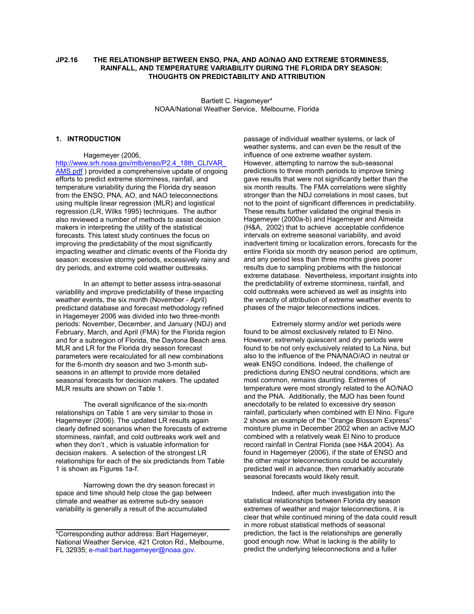### **JP2.16 THE RELATIONSHIP BETWEEN ENSO, PNA, AND AO/NAO AND EXTREME STORMINESS, RAINFALL, AND TEMPERATURE VARIABILITY DURING THE FLORIDA DRY SEASON: THOUGHTS ON PREDICTABILITY AND ATTRIBUTION**

Bartlett C. Hagemeyer\* NOAA/National Weather Service, Melbourne, Florida

### **1. INTRODUCTION**

Hagemeyer (2006,

http://www.srh.noaa.gov/mlb/enso/P2.4\_18th\_CLIVAR AMS.pdf ) provided a comprehensive update of ongoing efforts to predict extreme storminess, rainfall, and temperature variability during the Florida dry season from the ENSO, PNA, AO, and NAO teleconnections using multiple linear regression (MLR) and logistical regression (LR, Wilks 1995) techniques. The author also reviewed a number of methods to assist decision makers in interpreting the utility of the statistical forecasts. This latest study continues the focus on improving the predictability of the most significantly impacting weather and climatic events of the Florida dry season: excessive stormy periods, excessively rainy and dry periods, and extreme cold weather outbreaks.

In an attempt to better assess intra-seasonal variability and improve predictability of these impacting weather events, the six month (November - April) predictand database and forecast methodology refined in Hagemeyer 2006 was divided into two three-month periods: November, December, and January (NDJ) and February, March, and April (FMA) for the Florida region and for a subregion of Florida, the Daytona Beach area. MLR and LR for the Florida dry season forecast parameters were recalculated for all new combinations for the 6-month dry season and two 3-month subseasons in an attempt to provide more detailed seasonal forecasts for decision makers. The updated MLR results are shown on Table 1.

The overall significance of the six-month relationships on Table 1 are very similar to those in Hagemeyer (2006). The updated LR results again clearly defined scenarios when the forecasts of extreme storminess, rainfall, and cold outbreaks work well and when they don't , which is valuable information for decision makers. A selection of the strongest LR relationships for each of the six predictands from Table 1 is shown as Figures 1a-f.

Narrowing down the dry season forecast in space and time should help close the gap between climate and weather as extreme sub-dry season variability is generally a result of the accumulated

passage of individual weather systems, or lack of weather systems, and can even be the result of the influence of one extreme weather system. However, attempting to narrow the sub-seasonal predictions to three month periods to improve timing gave results that were not significantly better than the six month results. The FMA correlations were slightly stronger than the NDJ correlations in most cases, but not to the point of significant differences in predictability. These results further validated the original thesis in Hagemeyer (2000a-b) and Hagemeyer and Almeida (H&A, 2002) that to achieve acceptable confidence intervals on extreme seasonal variability, and avoid inadvertent timing or localization errors, forecasts for the entire Florida six month dry season period are optimum, and any period less than three months gives poorer results due to sampling problems with the historical extreme database. Nevertheless, important insights into the predictability of extreme storminess, rainfall, and cold outbreaks were achieved as well as insights into the veracity of attribution of extreme weather events to phases of the major teleconnections indices.

Extremely stormy and/or wet periods were found to be almost exclusively related to El Nino. However, extremely quiescent and dry periods were found to be not only exclusively related to La Nina, but also to the influence of the PNA/NAO/AO in neutral or weak ENSO conditions. Indeed, the challenge of predictions during ENSO neutral conditions, which are most common, remains daunting. Extremes of temperature were most strongly related to the AO/NAO and the PNA. Additionally, the MJO has been found anecdotally to be related to excessive dry season rainfall, particularly when combined with El Nino. Figure 2 shows an example of the "Orange Blossom Express" moisture plume in December 2002 when an active MJO combined with a relatively weak El Nino to produce record rainfall in Central Florida (see H&A 2004). As found in Hagemeyer (2006), if the state of ENSO and the other major teleconnections could be accurately predicted well in advance, then remarkably accurate seasonal forecasts would likely result.

Indeed, after much investigation into the statistical relationships between Florida dry season extremes of weather and major teleconnections, it is clear that while continued mining of the data could result in more robust statistical methods of seasonal prediction, the fact is the relationships are generally good enough now. What is lacking is the ability to predict the underlying teleconnections and a fuller

<sup>\*</sup>Corresponding author address: Bart Hagemeyer, National Weather Service, 421 Croton Rd., Melbourne, FL 32935; e-mail:bart.hagemeyer@noaa.gov.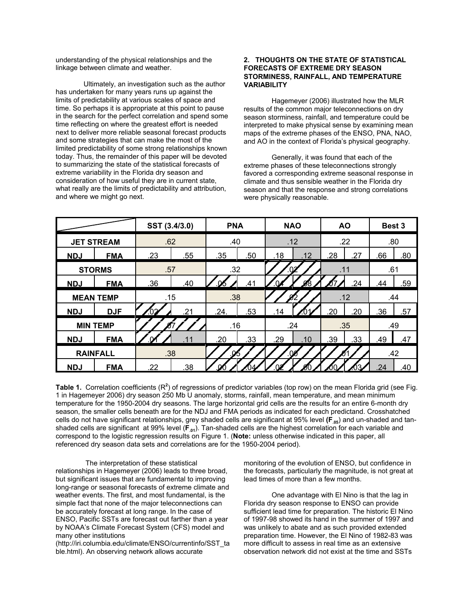understanding of the physical relationships and the linkage between climate and weather.

Ultimately, an investigation such as the author has undertaken for many years runs up against the limits of predictability at various scales of space and time. So perhaps it is appropriate at this point to pause in the search for the perfect correlation and spend some time reflecting on where the greatest effort is needed next to deliver more reliable seasonal forecast products and some strategies that can make the most of the limited predictability of some strong relationships known today. Thus, the remainder of this paper will be devoted to summarizing the state of the statistical forecasts of extreme variability in the Florida dry season and consideration of how useful they are in current state, what really are the limits of predictability and attribution, and where we might go next.

### **2. THOUGHTS ON THE STATE OF STATISTICAL FORECASTS OF EXTREME DRY SEASON STORMINESS, RAINFALL, AND TEMPERATURE VARIABILITY**

Hagemeyer (2006) illustrated how the MLR results of the common major teleconnections on dry season storminess, rainfall, and temperature could be interpreted to make physical sense by examining mean maps of the extreme phases of the ENSO, PNA, NAO, and AO in the context of Florida's physical geography.

Generally, it was found that each of the extreme phases of these teleconnections strongly favored a corresponding extreme seasonal response in climate and thus sensible weather in the Florida dry season and that the response and strong correlations were physically reasonable.

|                   |            | SST (3.4/3.0) |     | <b>PNA</b> |     | <b>NAO</b>    |     | <b>AO</b>  |     | Best 3 |     |
|-------------------|------------|---------------|-----|------------|-----|---------------|-----|------------|-----|--------|-----|
| <b>JET STREAM</b> |            | .62           |     | .40        |     | .12           |     | .22        |     | .80    |     |
| <b>NDJ</b>        | <b>FMA</b> | .23           | .55 | .35        | .50 | .18           | .12 | .28        | .27 | .66    | .80 |
| <b>STORMS</b>     |            | .57           |     | .32        |     |               |     | .11        |     | .61    |     |
| <b>NDJ</b>        | <b>FMA</b> | .36           | .40 | <u>.06</u> | .41 |               | 78  | $\sqrt{7}$ | .24 | .44    | .59 |
| <b>MEAN TEMP</b>  |            | .15           |     | .38        |     |               |     | .12        |     | .44    |     |
| <b>NDJ</b>        | <b>DJF</b> | .02           | .21 | .24.       | .53 | .14           |     | .20        | .20 | .36    | .57 |
| <b>MIN TEMP</b>   |            |               | .16 |            | .24 |               | .35 |            | .49 |        |     |
| <b>NDJ</b>        | <b>FMA</b> | <u>.О⁄1</u>   | .11 | .20        | .33 | .29           | .10 | .39        | .33 | .49    | .47 |
| <b>RAINFALL</b>   |            | .38           |     |            |     | $.0^{\prime}$ |     |            |     | .42    |     |
| <b>NDJ</b>        | <b>FMA</b> | .22           | .38 |            |     |               |     |            |     | .24    | .40 |

Table 1. Correlation coefficients (R<sup>2</sup>) of regressions of predictor variables (top row) on the mean Florida grid (see Fig. 1 in Hagemeyer 2006) dry season 250 Mb U anomaly, storms, rainfall, mean temperature, and mean minimum temperature for the 1950-2004 dry seasons. The large horizontal grid cells are the results for an entire 6-month dry season, the smaller cells beneath are for the NDJ and FMA periods as indicated for each predictand. Crosshatched cells do not have significant relationships, grey shaded cells are significant at 95% level (F<sub>.05</sub>) and un-shaded and tanshaded cells are significant at 99% level ( $\vec{F}_{.01}$ ). Tan-shaded cells are the highest correlation for each variable and correspond to the logistic regression results on Figure 1. (**Note:** unless otherwise indicated in this paper, all referenced dry season data sets and correlations are for the 1950-2004 period).

 The interpretation of these statistical relationships in Hagemeyer (2006) leads to three broad, but significant issues that are fundamental to improving long-range or seasonal forecasts of extreme climate and weather events. The first, and most fundamental, is the simple fact that none of the major teleconnections can be accurately forecast at long range. In the case of ENSO, Pacific SSTs are forecast out farther than a year by NOAA's Climate Forecast System (CFS) model and many other institutions

(http://iri.columbia.edu/climate/ENSO/currentinfo/SST\_ta ble.html). An observing network allows accurate

monitoring of the evolution of ENSO, but confidence in the forecasts, particularly the magnitude, is not great at lead times of more than a few months.

One advantage with El Nino is that the lag in Florida dry season response to ENSO can provide sufficient lead time for preparation. The historic El Nino of 1997-98 showed its hand in the summer of 1997 and was unlikely to abate and as such provided extended preparation time. However, the El Nino of 1982-83 was more difficult to assess in real time as an extensive observation network did not exist at the time and SSTs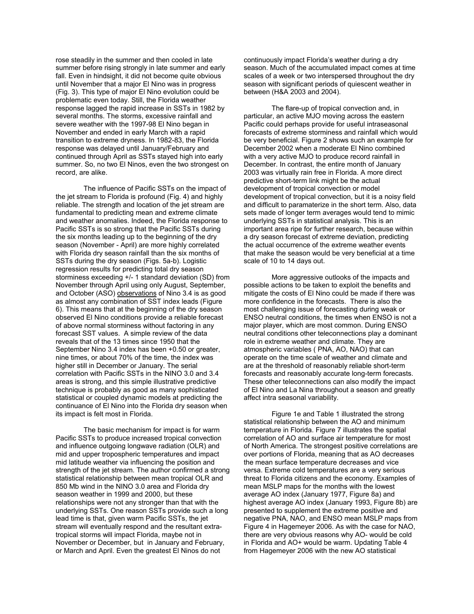rose steadily in the summer and then cooled in late summer before rising strongly in late summer and early fall. Even in hindsight, it did not become quite obvious until November that a major El Nino was in progress (Fig. 3). This type of major El Nino evolution could be problematic even today. Still, the Florida weather response lagged the rapid increase in SSTs in 1982 by several months. The storms, excessive rainfall and severe weather with the 1997-98 El Nino began in November and ended in early March with a rapid transition to extreme dryness. In 1982-83, the Florida response was delayed until January/February and continued through April as SSTs stayed high into early summer. So, no two El Ninos, even the two strongest on record, are alike.

The influence of Pacific SSTs on the impact of the jet stream to Florida is profound (Fig. 4) and highly reliable. The strength and location of the jet stream are fundamental to predicting mean and extreme climate and weather anomalies. Indeed, the Florida response to Pacific SSTs is so strong that the Pacific SSTs during the six months leading up to the beginning of the dry season (November - April) are more highly correlated with Florida dry season rainfall than the six months of SSTs during the dry season (Figs. 5a-b). Logistic regression results for predicting total dry season storminess exceeding +/- 1 standard deviation (SD) from November through April using only August, September, and October (ASO) observations of Nino 3.4 is as good as almost any combination of SST index leads (Figure 6). This means that at the beginning of the dry season observed El Nino conditions provide a reliable forecast of above normal storminess without factoring in any forecast SST values. A simple review of the data reveals that of the 13 times since 1950 that the September Nino 3.4 index has been +0.50 or greater, nine times, or about 70% of the time, the index was higher still in December or January. The serial correlation with Pacific SSTs in the NINO 3.0 and 3.4 areas is strong, and this simple illustrative predictive technique is probably as good as many sophisticated statistical or coupled dynamic models at predicting the continuance of El Nino into the Florida dry season when its impact is felt most in Florida.

The basic mechanism for impact is for warm Pacific SSTs to produce increased tropical convection and influence outgoing longwave radiation (OLR) and mid and upper tropospheric temperatures and impact mid latitude weather via influencing the position and strength of the jet stream. The author confirmed a strong statistical relationship between mean tropical OLR and 850 Mb wind in the NINO 3.0 area and Florida dry season weather in 1999 and 2000, but these relationships were not any stronger than that with the underlying SSTs. One reason SSTs provide such a long lead time is that, given warm Pacific SSTs, the jet stream will eventually respond and the resultant extratropical storms will impact Florida, maybe not in November or December, but in January and February, or March and April. Even the greatest El Ninos do not

continuously impact Florida's weather during a dry season. Much of the accumulated impact comes at time scales of a week or two interspersed throughout the dry season with significant periods of quiescent weather in between (H&A 2003 and 2004).

The flare-up of tropical convection and, in particular, an active MJO moving across the eastern Pacific could perhaps provide for useful intraseasonal forecasts of extreme storminess and rainfall which would be very beneficial. Figure 2 shows such an example for December 2002 when a moderate El Nino combined with a very active MJO to produce record rainfall in December. In contrast, the entire month of January 2003 was virtually rain free in Florida. A more direct predictive short-term link might be the actual development of tropical convection or model development of tropical convection, but it is a noisy field and difficult to paramaterize in the short term. Also, data sets made of longer term averages would tend to mimic underlying SSTs in statistical analysis. This is an important area ripe for further research, because within a dry season forecast of extreme deviation, predicting the actual occurrence of the extreme weather events that make the season would be very beneficial at a time scale of 10 to 14 days out.

More aggressive outlooks of the impacts and possible actions to be taken to exploit the benefits and mitigate the costs of El Nino could be made if there was more confidence in the forecasts. There is also the most challenging issue of forecasting during weak or ENSO neutral conditions, the times when ENSO is not a major player, which are most common. During ENSO neutral conditions other teleconnections play a dominant role in extreme weather and climate. They are atmospheric variables ( PNA, AO, NAO) that can operate on the time scale of weather and climate and are at the threshold of reasonably reliable short-term forecasts and reasonably accurate long-term forecasts. These other teleconnections can also modify the impact of El Nino and La Nina throughout a season and greatly affect intra seasonal variability.

Figure 1e and Table 1 illustrated the strong statistical relationship between the AO and minimum temperature in Florida. Figure 7 illustrates the spatial correlation of AO and surface air temperature for most of North America. The strongest positive correlations are over portions of Florida, meaning that as AO decreases the mean surface temperature decreases and vice versa. Extreme cold temperatures are a very serious threat to Florida citizens and the economy. Examples of mean MSLP maps for the months with the lowest average AO index (January 1977, Figure 8a) and highest average AO index (January 1993, Figure 8b) are presented to supplement the extreme positive and negative PNA, NAO, and ENSO mean MSLP maps from Figure 4 in Hagemeyer 2006. As with the case for NAO, there are very obvious reasons why AO- would be cold in Florida and AO+ would be warm. Updating Table 4 from Hagemeyer 2006 with the new AO statistical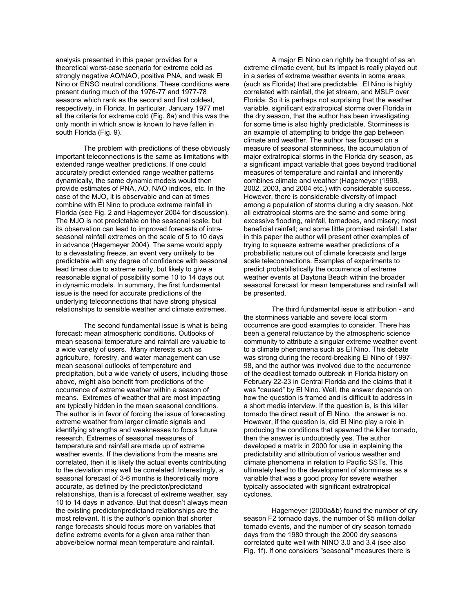analysis presented in this paper provides for a theoretical worst-case scenario for extreme cold as strongly negative AO/NAO, positive PNA, and weak El Nino or ENSO neutral conditions. These conditions were present during much of the 1976-77 and 1977-78 seasons which rank as the second and first coldest, respectively, in Florida. In particular, January 1977 met all the criteria for extreme cold (Fig. 8a) and this was the only month in which snow is known to have fallen in south Florida (Fig. 9).

The problem with predictions of these obviously important teleconnections is the same as limitations with extended range weather predictions. If one could accurately predict extended range weather patterns dynamically, the same dynamic models would then provide estimates of PNA, AO, NAO indices, etc. In the case of the MJO, it is observable and can at times combine with El Nino to produce extreme rainfall in Florida (see Fig. 2 and Hagemeyer 2004 for discussion). The MJO is not predictable on the seasonal scale, but its observation can lead to improved forecasts of intraseasonal rainfall extremes on the scale of 5 to 10 days in advance (Hagemeyer 2004). The same would apply to a devastating freeze, an event very unlikely to be predictable with any degree of confidence with seasonal lead times due to extreme rarity, but likely to give a reasonable signal of possibility some 10 to 14 days out in dynamic models. In summary, the first fundamental issue is the need for accurate predictions of the underlying teleconnections that have strong physical relationships to sensible weather and climate extremes.

The second fundamental issue is what is being forecast: mean atmospheric conditions. Outlooks of mean seasonal temperature and rainfall are valuable to a wide variety of users. Many interests such as agriculture, forestry, and water management can use mean seasonal outlooks of temperature and precipitation, but a wide variety of users, including those above, might also benefit from predictions of the occurrence of extreme weather within a season of means. Extremes of weather that are most impacting are typically hidden in the mean seasonal conditions. The author is in favor of forcing the issue of forecasting extreme weather from larger climatic signals and identifying strengths and weaknesses to focus future research. Extremes of seasonal measures of temperature and rainfall are made up of extreme weather events. If the deviations from the means are correlated, then it is likely the actual events contributing to the deviation may well be correlated. Interestingly, a seasonal forecast of 3-6 months is theoretically more accurate, as defined by the predictor/predictand relationships, than is a forecast of extreme weather, say 10 to 14 days in advance. But that doesn't always mean the existing predictor/predictand relationships are the most relevant. It is the author's opinion that shorter range forecasts should focus more on variables that define extreme events for a given area rather than above/below normal mean temperature and rainfall.

A major El Nino can rightly be thought of as an extreme climatic event, but its impact is really played out in a series of extreme weather events in some areas (such as Florida) that are predictable. El Nino is highly correlated with rainfall, the jet stream, and MSLP over Florida. So it is perhaps not surprising that the weather variable, significant extratropical storms over Florida in the dry season, that the author has been investigating for some time is also highly predictable. Storminess is an example of attempting to bridge the gap between climate and weather. The author has focused on a measure of seasonal storminess, the accumulation of major extratropical storms in the Florida dry season, as a significant impact variable that goes beyond traditional measures of temperature and rainfall and inherently combines climate and weather (Hagemeyer (1998, 2002, 2003, and 2004 etc.) with considerable success. However, there is considerable diversity of impact among a population of storms during a dry season. Not all extratropical storms are the same and some bring excessive flooding, rainfall, tornadoes, and misery; most beneficial rainfall; and some little promised rainfall. Later in this paper the author will present other examples of trying to squeeze extreme weather predictions of a probabilistic nature out of climate forecasts and large scale teleconnections. Examples of experiments to predict probabilistically the occurrence of extreme weather events at Daytona Beach within the broader seasonal forecast for mean temperatures and rainfall will be presented.

The third fundamental issue is attribution - and the storminess variable and severe local storm occurrence are good examples to consider. There has been a general reluctance by the atmospheric science community to attribute a singular extreme weather event to a climate phenomena such as El Nino. This debate was strong during the record-breaking El Nino of 1997- 98, and the author was involved due to the occurrence of the deadliest tornado outbreak in Florida history on February 22-23 in Central Florida and the claims that it was "caused" by El Nino. Well, the answer depends on how the question is framed and is difficult to address in a short media interview. If the question is, is this killer tornado the direct result of El Nino, the answer is no. However, if the question is, did El Nino play a role in producing the conditions that spawned the killer tornado, then the answer is undoubtedly yes. The author developed a matrix in 2000 for use in explaining the predictability and attribution of various weather and climate phenomena in relation to Pacific SSTs. This ultimately lead to the development of storminess as a variable that was a good proxy for severe weather typically associated with significant extratropical cyclones.

Hagemeyer (2000a&b) found the number of dry season F2 tornado days, the number of \$5 million dollar tornado events, and the number of dry season tornado days from the 1980 through the 2000 dry seasons correlated quite well with NINO 3.0 and 3.4 (see also Fig. 1f). If one considers "seasonal" measures there is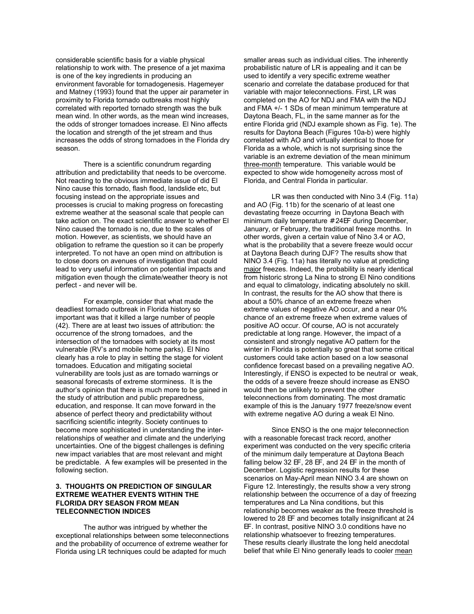considerable scientific basis for a viable physical relationship to work with. The presence of a jet maxima is one of the key ingredients in producing an environment favorable for tornadogenesis. Hagemeyer and Matney (1993) found that the upper air parameter in proximity to Florida tornado outbreaks most highly correlated with reported tornado strength was the bulk mean wind. In other words, as the mean wind increases, the odds of stronger tornadoes increase. El Nino affects the location and strength of the jet stream and thus increases the odds of strong tornadoes in the Florida dry season.

There is a scientific conundrum regarding attribution and predictability that needs to be overcome. Not reacting to the obvious immediate issue of did El Nino cause this tornado, flash flood, landslide etc, but focusing instead on the appropriate issues and processes is crucial to making progress on forecasting extreme weather at the seasonal scale that people can take action on. The exact scientific answer to whether El Nino caused the tornado is no, due to the scales of motion. However, as scientists, we should have an obligation to reframe the question so it can be properly interpreted. To not have an open mind on attribution is to close doors on avenues of investigation that could lead to very useful information on potential impacts and mitigation even though the climate/weather theory is not perfect - and never will be.

For example, consider that what made the deadliest tornado outbreak in Florida history so important was that it killed a large number of people (42). There are at least two issues of attribution: the occurrence of the strong tornadoes, and the intersection of the tornadoes with society at its most vulnerable (RV's and mobile home parks). El Nino clearly has a role to play in setting the stage for violent tornadoes. Education and mitigating societal vulnerability are tools just as are tornado warnings or seasonal forecasts of extreme storminess. It is the author's opinion that there is much more to be gained in the study of attribution and public preparedness, education, and response. It can move forward in the absence of perfect theory and predictability without sacrificing scientific integrity. Society continues to become more sophisticated in understanding the interrelationships of weather and climate and the underlying uncertainties. One of the biggest challenges is defining new impact variables that are most relevant and might be predictable. A few examples will be presented in the following section.

# **3. THOUGHTS ON PREDICTION OF SINGULAR EXTREME WEATHER EVENTS WITHIN THE FLORIDA DRY SEASON FROM MEAN TELECONNECTION INDICES**

The author was intrigued by whether the exceptional relationships between some teleconnections and the probability of occurrence of extreme weather for Florida using LR techniques could be adapted for much

smaller areas such as individual cities. The inherently probabilistic nature of LR is appealing and it can be used to identify a very specific extreme weather scenario and correlate the database produced for that variable with major teleconnections. First, LR was completed on the AO for NDJ and FMA with the NDJ and FMA +/- 1 SDs of mean minimum temperature at Daytona Beach, FL, in the same manner as for the entire Florida grid (NDJ example shown as Fig. 1e). The results for Daytona Beach (Figures 10a-b) were highly correlated with AO and virtually identical to those for Florida as a whole, which is not surprising since the variable is an extreme deviation of the mean minimum three-month temperature. This variable would be expected to show wide homogeneity across most of Florida, and Central Florida in particular.

LR was then conducted with Nino 3.4 (Fig. 11a) and AO (Fig. 11b) for the scenario of at least one devastating freeze occurring in Daytona Beach with minimum daily temperature # 24EF during December, January, or February, the traditional freeze months. In other words, given a certain value of Nino 3.4 or AO, what is the probability that a severe freeze would occur at Daytona Beach during DJF? The results show that NINO 3.4 (Fig. 11a) has literally no value at predicting major freezes. Indeed, the probability is nearly identical from historic strong La Nina to strong El Nino conditions and equal to climatology, indicating absolutely no skill. In contrast, the results for the AO show that there is about a 50% chance of an extreme freeze when extreme values of negative AO occur, and a near 0% chance of an extreme freeze when extreme values of positive AO occur. Of course, AO is not accurately predictable at long range. However, the impact of a consistent and strongly negative AO pattern for the winter in Florida is potentially so great that some critical customers could take action based on a low seasonal confidence forecast based on a prevailing negative AO. Interestingly, if ENSO is expected to be neutral or weak, the odds of a severe freeze should increase as ENSO would then be unlikely to prevent the other teleconnections from dominating. The most dramatic example of this is the January 1977 freeze/snow event with extreme negative AO during a weak El Nino.

Since ENSO is the one major teleconnection with a reasonable forecast track record, another experiment was conducted on the very specific criteria of the minimum daily temperature at Daytona Beach falling below 32 EF, 28 EF, and 24 EF in the month of December. Logistic regression results for these scenarios on May-April mean NINO 3.4 are shown on Figure 12. Interestingly, the results show a very strong relationship between the occurrence of a day of freezing temperatures and La Nina conditions, but this relationship becomes weaker as the freeze threshold is lowered to 28 EF and becomes totally insignificant at 24 EF. In contrast, positive NINO 3.0 conditions have no relationship whatsoever to freezing temperatures. These results clearly illustrate the long held anecdotal belief that while El Nino generally leads to cooler mean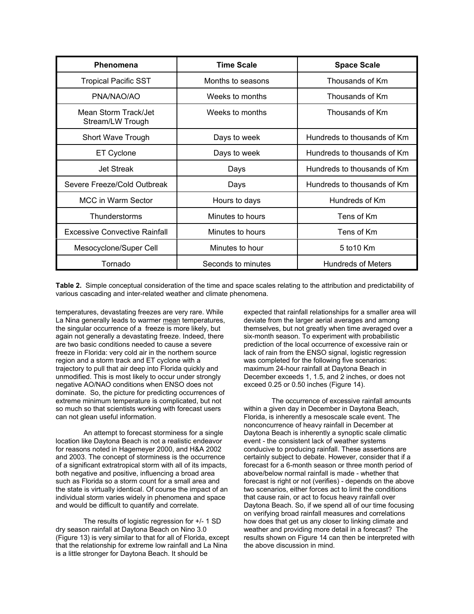| Phenomena                                | <b>Time Scale</b>  | <b>Space Scale</b>          |  |  |
|------------------------------------------|--------------------|-----------------------------|--|--|
| <b>Tropical Pacific SST</b>              | Months to seasons  | Thousands of Km             |  |  |
| PNA/NAO/AO                               | Weeks to months    | Thousands of Km             |  |  |
| Mean Storm Track/Jet<br>Stream/LW Trough | Weeks to months    | Thousands of Km             |  |  |
| Short Wave Trough                        | Days to week       | Hundreds to thousands of Km |  |  |
| ET Cyclone                               | Days to week       | Hundreds to thousands of Km |  |  |
| <b>Jet Streak</b>                        | Days               | Hundreds to thousands of Km |  |  |
| Severe Freeze/Cold Outbreak              | Days               | Hundreds to thousands of Km |  |  |
| MCC in Warm Sector                       | Hours to days      | Hundreds of Km              |  |  |
| Thunderstorms                            | Minutes to hours   | Tens of Km                  |  |  |
| <b>Excessive Convective Rainfall</b>     | Minutes to hours   | Tens of Km                  |  |  |
| Mesocyclone/Super Cell                   | Minutes to hour    | 5 to 10 Km                  |  |  |
| Tornado                                  | Seconds to minutes | <b>Hundreds of Meters</b>   |  |  |

**Table 2.** Simple conceptual consideration of the time and space scales relating to the attribution and predictability of various cascading and inter-related weather and climate phenomena.

temperatures, devastating freezes are very rare. While La Nina generally leads to warmer mean temperatures, the singular occurrence of a freeze is more likely, but again not generally a devastating freeze. Indeed, there are two basic conditions needed to cause a severe freeze in Florida: very cold air in the northern source region and a storm track and ET cyclone with a trajectory to pull that air deep into Florida quickly and unmodified. This is most likely to occur under strongly negative AO/NAO conditions when ENSO does not dominate. So, the picture for predicting occurrences of extreme minimum temperature is complicated, but not so much so that scientists working with forecast users can not glean useful information.

An attempt to forecast storminess for a single location like Daytona Beach is not a realistic endeavor for reasons noted in Hagemeyer 2000, and H&A 2002 and 2003. The concept of storminess is the occurrence of a significant extratropical storm with all of its impacts, both negative and positive, influencing a broad area such as Florida so a storm count for a small area and the state is virtually identical. Of course the impact of an individual storm varies widely in phenomena and space and would be difficult to quantify and correlate.

The results of logistic regression for +/- 1 SD dry season rainfall at Daytona Beach on Nino 3.0 (Figure 13) is very similar to that for all of Florida, except that the relationship for extreme low rainfall and La Nina is a little stronger for Daytona Beach. It should be

expected that rainfall relationships for a smaller area will deviate from the larger aerial averages and among themselves, but not greatly when time averaged over a six-month season. To experiment with probabilistic prediction of the local occurrence of excessive rain or lack of rain from the ENSO signal, logistic regression was completed for the following five scenarios: maximum 24-hour rainfall at Daytona Beach in December exceeds 1, 1.5, and 2 inches, or does not exceed 0.25 or 0.50 inches (Figure 14).

The occurrence of excessive rainfall amounts within a given day in December in Daytona Beach, Florida, is inherently a mesoscale scale event. The nonconcurrence of heavy rainfall in December at Daytona Beach is inherently a synoptic scale climatic event - the consistent lack of weather systems conducive to producing rainfall. These assertions are certainly subject to debate. However, consider that if a forecast for a 6-month season or three month period of above/below normal rainfall is made - whether that forecast is right or not (verifies) - depends on the above two scenarios, either forces act to limit the conditions that cause rain, or act to focus heavy rainfall over Daytona Beach. So, if we spend all of our time focusing on verifying broad rainfall measures and correlations how does that get us any closer to linking climate and weather and providing more detail in a forecast? The results shown on Figure 14 can then be interpreted with the above discussion in mind.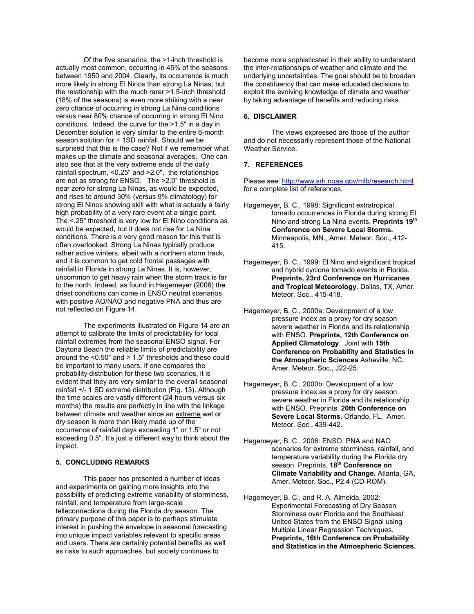Of the five scenarios, the >1-inch threshold is actually most common, occurring in 45% of the seasons between 1950 and 2004. Clearly, its occurrence is much more likely in strong El Ninos than strong La Ninas; but the relationship with the much rarer >1.5-inch threshold (18% of the seasons) is even more striking with a near zero chance of occurring in strong La Nina conditions versus near 80% chance of occurring in strong El Nino conditions. Indeed, the curve for the >1.5" in a day in December solution is very similar to the entire 6-month season solution for + 1SD rainfall. Should we be surprised that this is the case? Not if we remember what makes up the climate and seasonal averages. One can also see that at the very extreme ends of the daily rainfall spectrum, <0.25" and >2.0", the relationships are not as strong for ENSO. The >2.0" threshold is near zero for strong La Ninas, as would be expected, and rises to around 30% (versus 9% climatology) for strong El Ninos showing skill with what is actually a fairly high probability of a very rare event at a single point. The <.25" threshold is very low for El Nino conditions as would be expected, but it does not rise for La Nina conditions. There is a very good reason for this that is often overlooked. Strong La Ninas typically produce rather active winters, albeit with a northern storm track, and it is common to get cold frontal passages with rainfall in Florida in strong La Ninas. It is, however, uncommon to get heavy rain when the storm track is far to the north. Indeed, as found in Hagemeyer (2006) the driest conditions can come in ENSO neutral scenarios with positive AO/NAO and negative PNA and thus are not reflected on Figure 14.

The experiments illustrated on Figure 14 are an attempt to calibrate the limits of predictability for local rainfall extremes from the seasonal ENSO signal. For Daytona Beach the reliable limits of predictability are around the <0.50" and > 1.5" thresholds and these could be important to many users. If one compares the probability distribution for these two scenarios, it is evident that they are very similar to the overall seasonal rainfall +/- 1 SD extreme distribution (Fig. 13). Although the time scales are vastly different (24 hours versus six months) the results are perfectly in line with the linkage between climate and weather since an extreme wet or dry season is more than likely made up of the occurrence of rainfall days exceeding 1" or 1.5" or not exceeding 0.5". It's just a different way to think about the impact.

# **5. CONCLUDING REMARKS**

This paper has presented a number of ideas and experiments on gaining more insights into the possibility of predicting extreme variability of storminess, rainfall, and temperature from large-scale telleconnections during the Florida dry season. The primary purpose of this paper is to perhaps stimulate interest in pushing the envelope in seasonal forecasting into unique impact variables relevant to specific areas and users. There are certainly potential benefits as well as risks to such approaches, but society continues to

become more sophisticated in their ability to understand the inter-relationships of weather and climate and the underlying uncertainties. The goal should be to broaden the constituency that can make educated decisions to exploit the evolving knowledge of climate and weather by taking advantage of benefits and reducing risks.

#### **6. DISCLAIMER**

The views expressed are those of the author and do not necessarily represent those of the National Weather Service.

# **7. REFERENCES**

Please see: http://www.srh.noaa.gov/mlb/research.html for a complete list of references.

- Hagemeyer, B. C., 1998: Significant extratropical tornado occurrences in Florida during strong El Nino and strong La Nina events. **Preprints 19th Conference on Severe Local Storms.** Minneapolis, MN., Amer. Meteor. Soc., 412- 415.
- Hagemeyer, B. C., 1999: El Nino and significant tropical and hybrid cyclone tornado events in Florida. **Preprints, 23rd Conference on Hurricanes and Tropical Meteorology**. Dallas, TX, Amer. Meteor. Soc., 415-418.
- Hagemeyer, B. C., 2000a: Development of a low pressure index as a proxy for dry season severe weather in Florida and its relationship with ENSO. **Preprints, 12th Conference on Applied Climatology**. Joint with **15th Conference on Probability and Statistics in the Atmospheric Sciences** Asheville, NC, Amer. Meteor. Soc., J22-25.
- Hagemeyer, B. C., 2000b: Development of a low pressure index as a proxy for dry season severe weather in Florida and its relationship with ENSO. Preprints, **20th Conference on Severe Local Storms.** Orlando, FL, Amer. Meteor. Soc., 439-442.
- Hagemeyer, B. C., 2006: ENSO, PNA and NAO scenarios for extreme storminess, rainfall, and temperature variability during the Florida dry season. Preprints, **18th Conference on Climate Variability and Change.** Atlanta, GA, Amer. Meteor. Soc., P2.4 (CD-ROM).
- Hagemeyer, B. C., and R. A. Almeida, 2002: Experimental Forecasting of Dry Season Storminess over Florida and the Southeast United States from the ENSO Signal using Multiple Linear Regression Techniques. **Preprints, 16th Conference on Probability and Statistics in the Atmospheric Sciences.**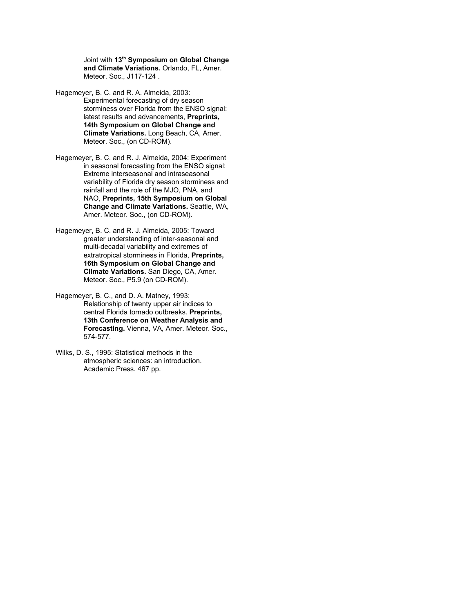Joint with **13th Symposium on Global Change and Climate Variations.** Orlando, FL, Amer. Meteor. Soc., J117-124 .

- Hagemeyer, B. C. and R. A. Almeida, 2003: Experimental forecasting of dry season storminess over Florida from the ENSO signal: latest results and advancements, **Preprints, 14th Symposium on Global Change and Climate Variations.** Long Beach, CA, Amer. Meteor. Soc., (on CD-ROM).
- Hagemeyer, B. C. and R. J. Almeida, 2004: Experiment in seasonal forecasting from the ENSO signal: Extreme interseasonal and intraseasonal variability of Florida dry season storminess and rainfall and the role of the MJO, PNA, and NAO, **Preprints, 15th Symposium on Global Change and Climate Variations.** Seattle, WA, Amer. Meteor. Soc., (on CD-ROM).
- Hagemeyer, B. C. and R. J. Almeida, 2005: Toward greater understanding of inter-seasonal and multi-decadal variability and extremes of extratropical storminess in Florida, **Preprints, 16th Symposium on Global Change and Climate Variations.** San Diego, CA, Amer. Meteor. Soc., P5.9 (on CD-ROM).
- Hagemeyer, B. C., and D. A. Matney, 1993: Relationship of twenty upper air indices to central Florida tornado outbreaks. **Preprints, 13th Conference on Weather Analysis and Forecasting.** Vienna, VA, Amer. Meteor. Soc., 574-577.
- Wilks, D. S., 1995: Statistical methods in the atmospheric sciences: an introduction. Academic Press. 467 pp.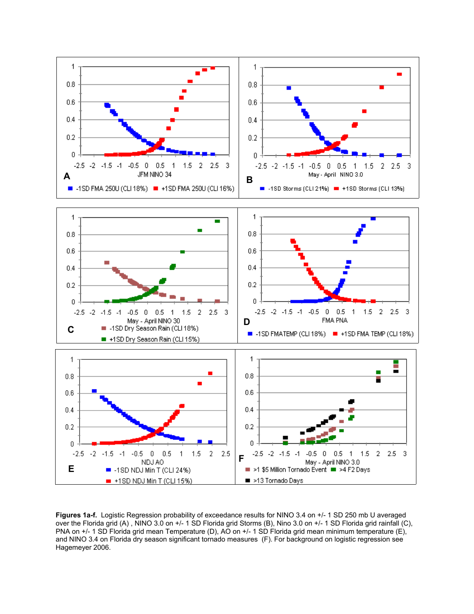

**Figures 1a-f.** Logistic Regression probability of exceedance results for NINO 3.4 on +/- 1 SD 250 mb U averaged over the Florida grid (A) , NINO 3.0 on +/- 1 SD Florida grid Storms (B), Nino 3.0 on +/- 1 SD Florida grid rainfall (C), PNA on +/- 1 SD Florida grid mean Temperature (D), AO on +/- 1 SD Florida grid mean minimum temperature (E), and NINO 3.4 on Florida dry season significant tornado measures (F). For background on logistic regression see Hagemeyer 2006.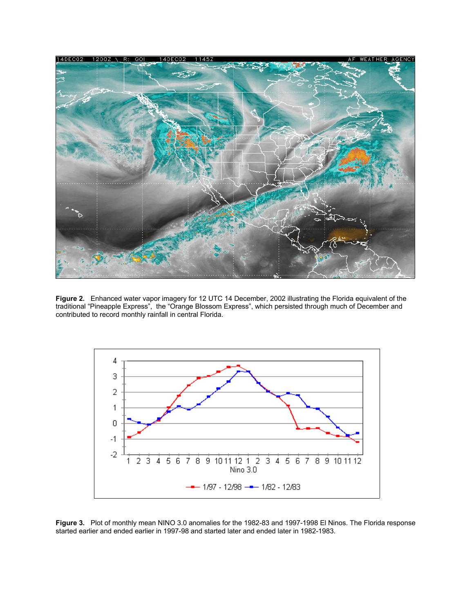

**Figure 2.** Enhanced water vapor imagery for 12 UTC 14 December, 2002 illustrating the Florida equivalent of the traditional "Pineapple Express", the "Orange Blossom Express", which persisted through much of December and contributed to record monthly rainfall in central Florida.



**Figure 3.** Plot of monthly mean NINO 3.0 anomalies for the 1982-83 and 1997-1998 El Ninos. The Florida response started earlier and ended earlier in 1997-98 and started later and ended later in 1982-1983.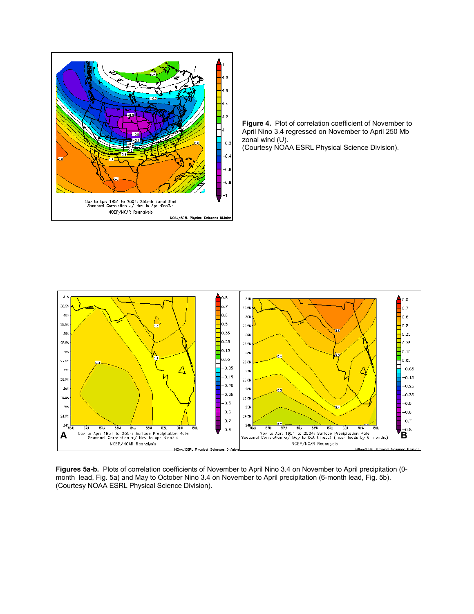

**Figure 4.** Plot of correlation coefficient of November to April Nino 3.4 regressed on November to April 250 Mb zonal wind (U). (Courtesy NOAA ESRL Physical Science Division).



**Figures 5a-b.** Plots of correlation coefficients of November to April Nino 3.4 on November to April precipitation (0 month lead, Fig. 5a) and May to October Nino 3.4 on November to April precipitation (6-month lead, Fig. 5b). (Courtesy NOAA ESRL Physical Science Division).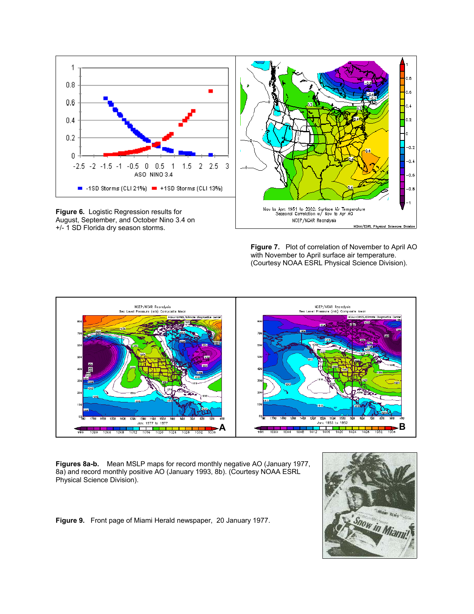

+/- 1 SD Florida dry season storms.

**Figure 7.** Plot of correlation of November to April AO with November to April surface air temperature. (Courtesy NOAA ESRL Physical Science Division).



**Figures 8a-b.** Mean MSLP maps for record monthly negative AO (January 1977, 8a) and record monthly positive AO (January 1993, 8b). (Courtesy NOAA ESRL Physical Science Division).

**Figure 9.** Front page of Miami Herald newspaper, 20 January 1977.

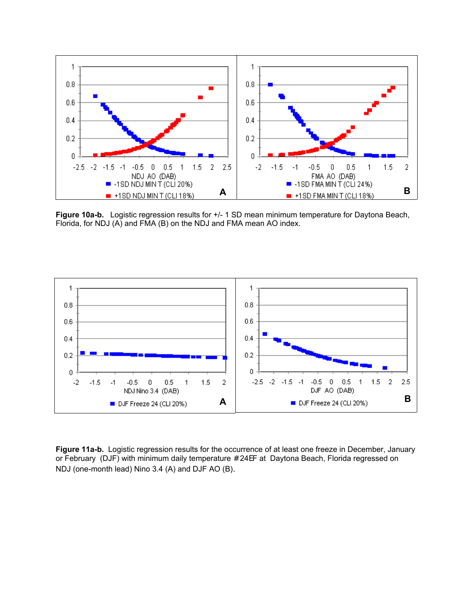

**Figure 10a-b.** Logistic regression results for +/- 1 SD mean minimum temperature for Daytona Beach, Florida, for NDJ (A) and FMA (B) on the NDJ and FMA mean AO index.



**Figure 11a-b.** Logistic regression results for the occurrence of at least one freeze in December, January or February (DJF) with minimum daily temperature # 24EF at Daytona Beach, Florida regressed on NDJ (one-month lead) Nino 3.4 (A) and DJF AO (B).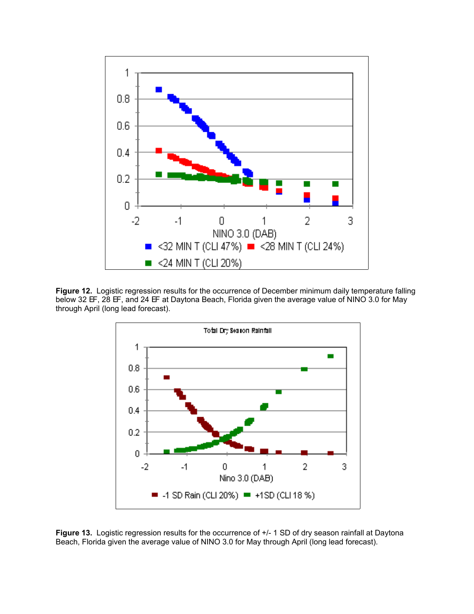

Figure 12. Logistic regression results for the occurrence of December minimum daily temperature falling below 32 EF, 28 EF, and 24 EF at Daytona Beach, Florida given the average value of NINO 3.0 for May through April (long lead forecast).



Figure 13. Logistic regression results for the occurrence of  $+/-$  1 SD of dry season rainfall at Daytona Beach, Florida given the average value of NINO 3.0 for May through April (long lead forecast).